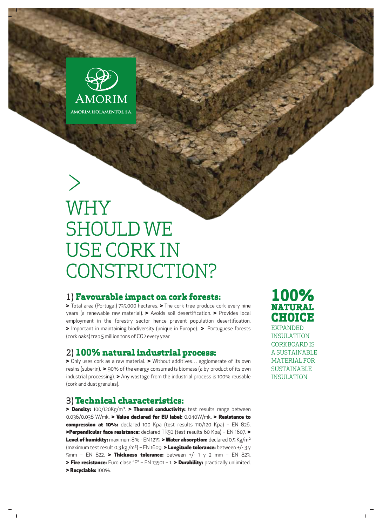

# WHY SHOULD WE USE CORK IN CONSTRUCTION?

#### 1) **Favourable impact on cork forests:**

> Total area (Portugal) 735,000 hectares. > The cork tree produce cork every nine years (a renewable raw material). > Avoids soil desertification. > Provides local employment in the forestry sector hence prevent population desertification. > Important in maintaining biodiversity (unique in Europe). > Portuguese forests (cork oaks) trap 5 million tons of CO2 every year.

#### 2) **100% natural industrial process:**

> Only uses cork as a raw material. > Without additives... agglomerate of its own resins (suberin). > 90% of the energy consumed is biomass (a by-product of its own industrial processing). > Any wastage from the industrial process is 100% reusable (cork and dust granules).

### 3)**Technical characteristics:**

> Density: 100/120Kg/m<sup>3</sup>. > Thermal conductivity: test results range between 0.036/0.038 W/mk. > Value declared for EU label: 0.040W/mk. > Resistance to compression at 10%: declared 100 Kpa (test results 110/120 Kpa) - EN 826. >Perpendicular face resistance: declared TR50 (test results 60 Kpa) - EN 1607. > Level of humidity: maximum 8% - EN 1215. > Water absorption: declared 0.5 Kg/m<sup>2</sup> (maximum test result 0.3 kg/m<sup>2</sup>) – EN 1609. > Longitude tolerance: between +/- 3 y 5mm - EN 822. > Thickness tolerance: between +/- 1 y 2 mm - EN 823. > Fire resistance: Euro clase "E" - EN 13501 - 1. > Durability: practically unlimited. > Recyclable: 100%.

# **100% NATURAL CHOICE** EXPANDED

INSULATIION CORKBOARD IS A SUSTAINABLE MATERIAL FOR SUSTAINABLE INSULATION